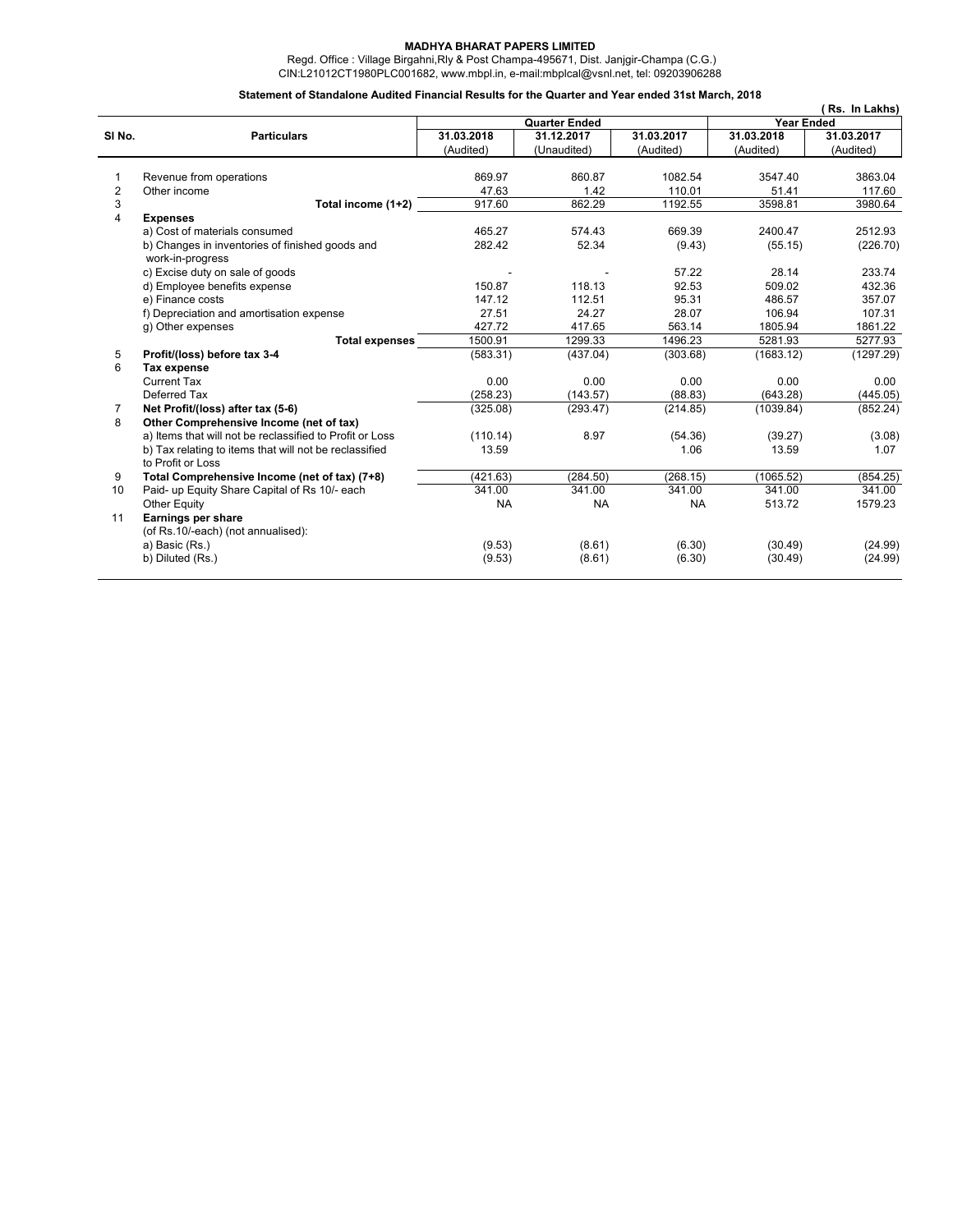## **MADHYA BHARAT PAPERS LIMITED**

 Regd. Office : Village Birgahni,Rly & Post Champa-495671, Dist. Janjgir-Champa (C.G.) CIN:L21012CT1980PLC001682, www.mbpl.in, e-mail:mbplcal@vsnl.net, tel: 09203906288

## **Statement of Standalone Audited Financial Results for the Quarter and Year ended 31st March, 2018**

|                   |                                                          |            |             |            |                   | Rs. In Lakhs) |  |
|-------------------|----------------------------------------------------------|------------|-------------|------------|-------------------|---------------|--|
|                   | <b>Quarter Ended</b>                                     |            |             |            | <b>Year Ended</b> |               |  |
| SI <sub>No.</sub> | <b>Particulars</b>                                       | 31.03.2018 | 31.12.2017  | 31.03.2017 | 31.03.2018        | 31.03.2017    |  |
|                   |                                                          | (Audited)  | (Unaudited) | (Audited)  | (Audited)         | (Audited)     |  |
|                   | Revenue from operations                                  | 869.97     | 860.87      | 1082.54    | 3547.40           | 3863.04       |  |
| $\overline{c}$    | Other income                                             | 47.63      | 1.42        | 110.01     | 51.41             | 117.60        |  |
| 3                 | Total income (1+2)                                       | 917.60     | 862.29      | 1192.55    | 3598.81           | 3980.64       |  |
| $\overline{4}$    | <b>Expenses</b>                                          |            |             |            |                   |               |  |
|                   | a) Cost of materials consumed                            | 465.27     | 574.43      | 669.39     | 2400.47           | 2512.93       |  |
|                   | b) Changes in inventories of finished goods and          | 282.42     | 52.34       | (9.43)     | (55.15)           | (226.70)      |  |
|                   | work-in-progress                                         |            |             |            |                   |               |  |
|                   | c) Excise duty on sale of goods                          |            |             | 57.22      | 28.14             | 233.74        |  |
|                   | d) Employee benefits expense                             | 150.87     | 118.13      | 92.53      | 509.02            | 432.36        |  |
|                   | e) Finance costs                                         | 147.12     | 112.51      | 95.31      | 486.57            | 357.07        |  |
|                   | f) Depreciation and amortisation expense                 | 27.51      | 24.27       | 28.07      | 106.94            | 107.31        |  |
|                   | g) Other expenses                                        | 427.72     | 417.65      | 563.14     | 1805.94           | 1861.22       |  |
|                   | <b>Total expenses</b>                                    | 1500.91    | 1299.33     | 1496.23    | 5281.93           | 5277.93       |  |
| 5                 | Profit/(loss) before tax 3-4                             | (583.31)   | (437.04)    | (303.68)   | (1683.12)         | (1297.29)     |  |
| 6                 | Tax expense                                              |            |             |            |                   |               |  |
|                   | <b>Current Tax</b>                                       | 0.00       | 0.00        | 0.00       | 0.00              | 0.00          |  |
|                   | Deferred Tax                                             | (258.23)   | (143.57)    | (88.83)    | (643.28)          | (445.05)      |  |
| 7                 | Net Profit/(loss) after tax (5-6)                        | (325.08)   | (293.47)    | (214.85)   | (1039.84)         | (852.24)      |  |
| 8                 | Other Comprehensive Income (net of tax)                  |            |             |            |                   |               |  |
|                   | a) Items that will not be reclassified to Profit or Loss | (110.14)   | 8.97        | (54.36)    | (39.27)           | (3.08)        |  |
|                   | b) Tax relating to items that will not be reclassified   | 13.59      |             | 1.06       | 13.59             | 1.07          |  |
|                   | to Profit or Loss                                        |            |             |            |                   |               |  |
| 9                 | Total Comprehensive Income (net of tax) (7+8)            | (421.63)   | (284.50)    | (268.15)   | (1065.52)         | (854.25)      |  |
| 10                | Paid- up Equity Share Capital of Rs 10/- each            | 341.00     | 341.00      | 341.00     | 341.00            | 341.00        |  |
|                   | <b>Other Equity</b>                                      | <b>NA</b>  | <b>NA</b>   | <b>NA</b>  | 513.72            | 1579.23       |  |
| 11                | <b>Earnings per share</b>                                |            |             |            |                   |               |  |
|                   | (of Rs.10/-each) (not annualised):                       |            |             |            |                   |               |  |
|                   | a) Basic (Rs.)                                           | (9.53)     | (8.61)      | (6.30)     | (30.49)           | (24.99)       |  |
|                   | b) Diluted (Rs.)                                         | (9.53)     | (8.61)      | (6.30)     | (30.49)           | (24.99)       |  |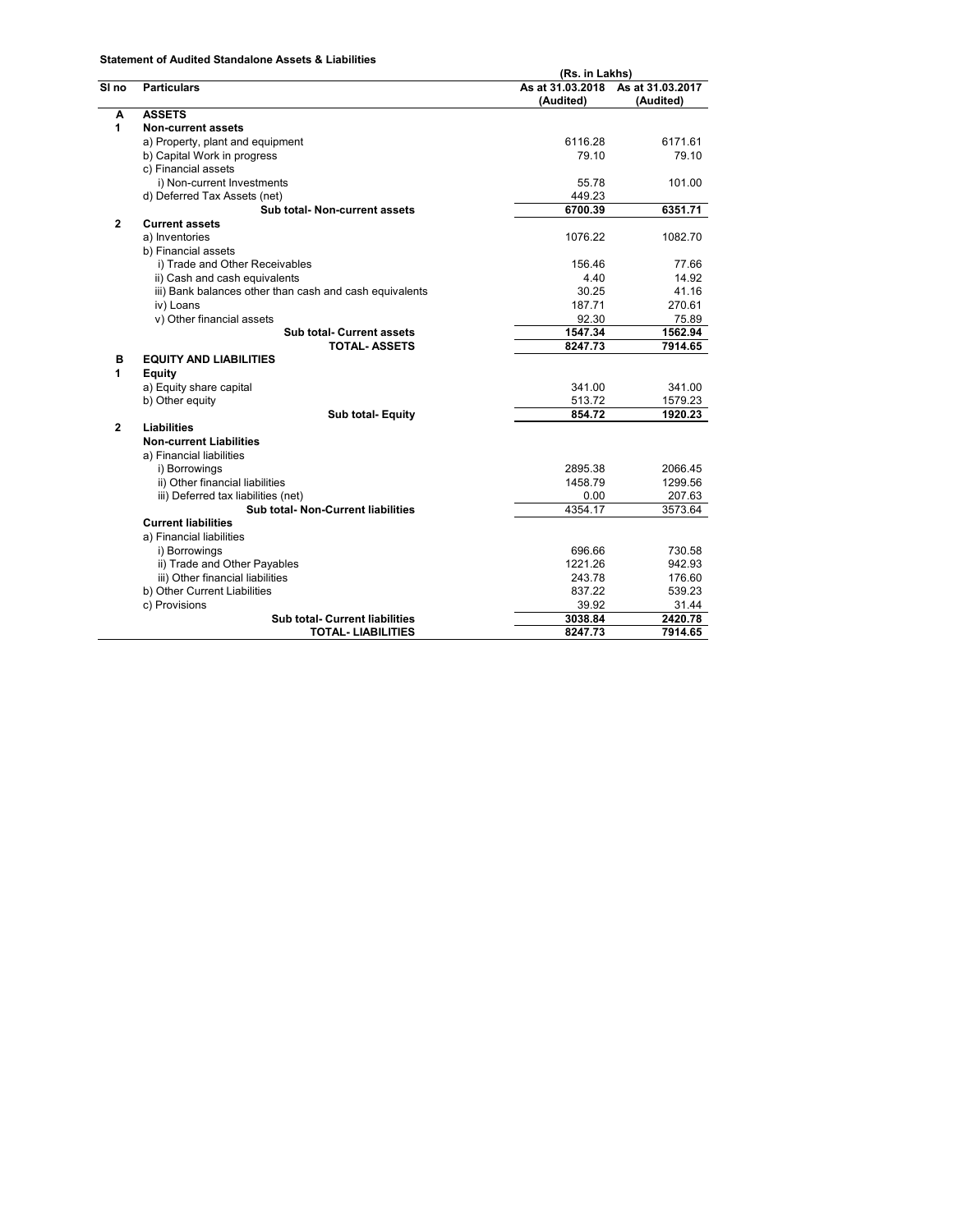## **Statement of Audited Standalone Assets & Liabilities**

|                           |                                                         | (Rs. in Lakhs)   |                  |  |
|---------------------------|---------------------------------------------------------|------------------|------------------|--|
| $\overline{\text{SI}}$ no | <b>Particulars</b>                                      | As at 31.03.2018 | As at 31.03.2017 |  |
|                           |                                                         | (Audited)        | (Audited)        |  |
| А                         | <b>ASSETS</b>                                           |                  |                  |  |
| 1                         | <b>Non-current assets</b>                               |                  |                  |  |
|                           | a) Property, plant and equipment                        | 6116.28          | 6171.61          |  |
|                           | b) Capital Work in progress                             | 79.10            | 79.10            |  |
|                           | c) Financial assets                                     |                  |                  |  |
|                           | i) Non-current Investments                              | 55.78            | 101.00           |  |
|                           | d) Deferred Tax Assets (net)                            | 449.23           |                  |  |
|                           | Sub total- Non-current assets                           | 6700.39          | 6351.71          |  |
| $\overline{2}$            | <b>Current assets</b>                                   |                  |                  |  |
|                           | a) Inventories                                          | 1076.22          | 1082.70          |  |
|                           | b) Financial assets                                     |                  |                  |  |
|                           | i) Trade and Other Receivables                          | 156.46           | 77.66            |  |
|                           | ii) Cash and cash equivalents                           | 4.40             | 14.92            |  |
|                           | iii) Bank balances other than cash and cash equivalents | 30.25            | 41.16            |  |
|                           | iv) Loans                                               | 187.71           | 270.61           |  |
|                           | v) Other financial assets                               | 92.30            | 75.89            |  |
|                           | Sub total- Current assets                               | 1547.34          | 1562.94          |  |
|                           | <b>TOTAL- ASSETS</b>                                    | 8247.73          | 7914.65          |  |
| в                         | <b>EQUITY AND LIABILITIES</b>                           |                  |                  |  |
| 1                         | <b>Equity</b>                                           |                  |                  |  |
|                           | a) Equity share capital                                 | 341.00           | 341.00           |  |
|                           | b) Other equity                                         | 513.72           | 1579.23          |  |
|                           | <b>Sub total- Equity</b>                                | 854.72           | 1920.23          |  |
| $\overline{2}$            | <b>Liabilities</b>                                      |                  |                  |  |
|                           | <b>Non-current Liabilities</b>                          |                  |                  |  |
|                           | a) Financial liabilities                                |                  |                  |  |
|                           | i) Borrowings                                           | 2895.38          | 2066.45          |  |
|                           | ii) Other financial liabilities                         | 1458.79          | 1299.56          |  |
|                           | iii) Deferred tax liabilities (net)                     | 0.00             | 207.63           |  |
|                           | Sub total- Non-Current liabilities                      | 4354.17          | 3573.64          |  |
|                           | <b>Current liabilities</b>                              |                  |                  |  |
|                           | a) Financial liabilities                                |                  |                  |  |
|                           | i) Borrowings                                           | 696.66           | 730.58           |  |
|                           | ii) Trade and Other Payables                            | 1221.26          | 942.93           |  |
|                           | iii) Other financial liabilities                        | 243.78           | 176.60           |  |
|                           | b) Other Current Liabilities                            | 837.22           | 539.23           |  |
|                           | c) Provisions                                           | 39.92            | 31.44            |  |
|                           | <b>Sub total- Current liabilities</b>                   | 3038.84          | 2420.78          |  |
|                           | <b>TOTAL- LIABILITIES</b>                               | 8247.73          | 7914.65          |  |